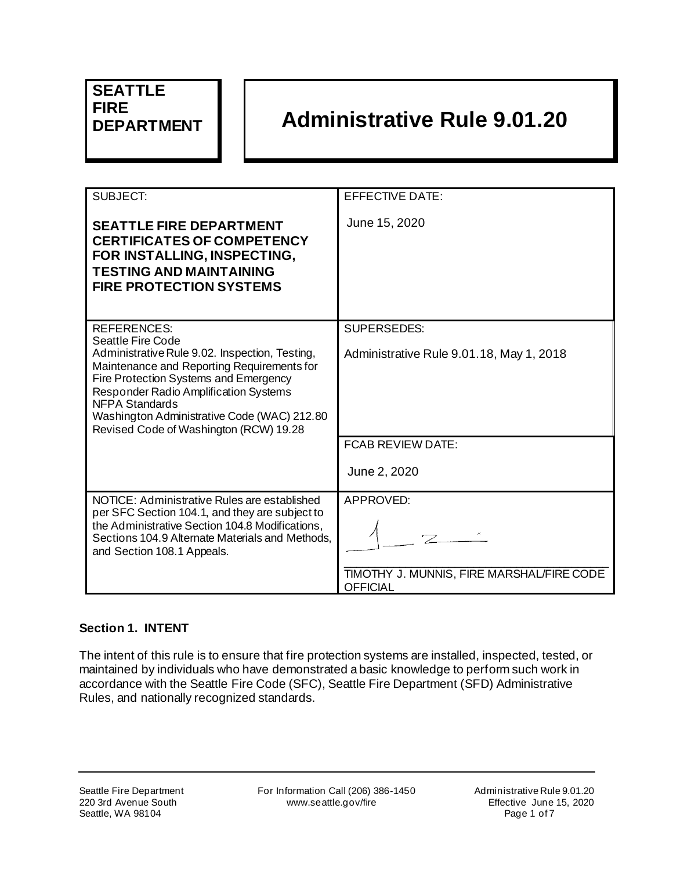# **SEATTLE FIRE**

## **DEPARTMENT Administrative Rule 9.01.20**

| SUBJECT:                                                                                                                                                                                                                                                                                                                                           | <b>EFFECTIVE DATE:</b>                                                           |
|----------------------------------------------------------------------------------------------------------------------------------------------------------------------------------------------------------------------------------------------------------------------------------------------------------------------------------------------------|----------------------------------------------------------------------------------|
| <b>SEATTLE FIRE DEPARTMENT</b><br><b>CERTIFICATES OF COMPETENCY</b><br>FOR INSTALLING, INSPECTING,<br><b>TESTING AND MAINTAINING</b><br><b>FIRE PROTECTION SYSTEMS</b>                                                                                                                                                                             | June 15, 2020                                                                    |
| <b>REFERENCES:</b><br><b>Seattle Fire Code</b><br>Administrative Rule 9.02. Inspection, Testing,<br>Maintenance and Reporting Requirements for<br>Fire Protection Systems and Emergency<br>Responder Radio Amplification Systems<br><b>NFPA Standards</b><br>Washington Administrative Code (WAC) 212.80<br>Revised Code of Washington (RCW) 19.28 | <b>SUPERSEDES:</b><br>Administrative Rule 9.01.18, May 1, 2018                   |
|                                                                                                                                                                                                                                                                                                                                                    | <b>FCAB REVIEW DATE:</b>                                                         |
|                                                                                                                                                                                                                                                                                                                                                    | June 2, 2020                                                                     |
| NOTICE: Administrative Rules are established<br>per SFC Section 104.1, and they are subject to<br>the Administrative Section 104.8 Modifications,<br>Sections 104.9 Alternate Materials and Methods,<br>and Section 108.1 Appeals.                                                                                                                 | <b>APPROVED:</b><br>TIMOTHY J. MUNNIS, FIRE MARSHAL/FIRE CODE<br><b>OFFICIAL</b> |

#### **Section 1. INTENT**

The intent of this rule is to ensure that fire protection systems are installed, inspected, tested, or maintained by individuals who have demonstrated a basic knowledge to perform such work in accordance with the Seattle Fire Code (SFC), Seattle Fire Department (SFD) Administrative Rules, and nationally recognized standards.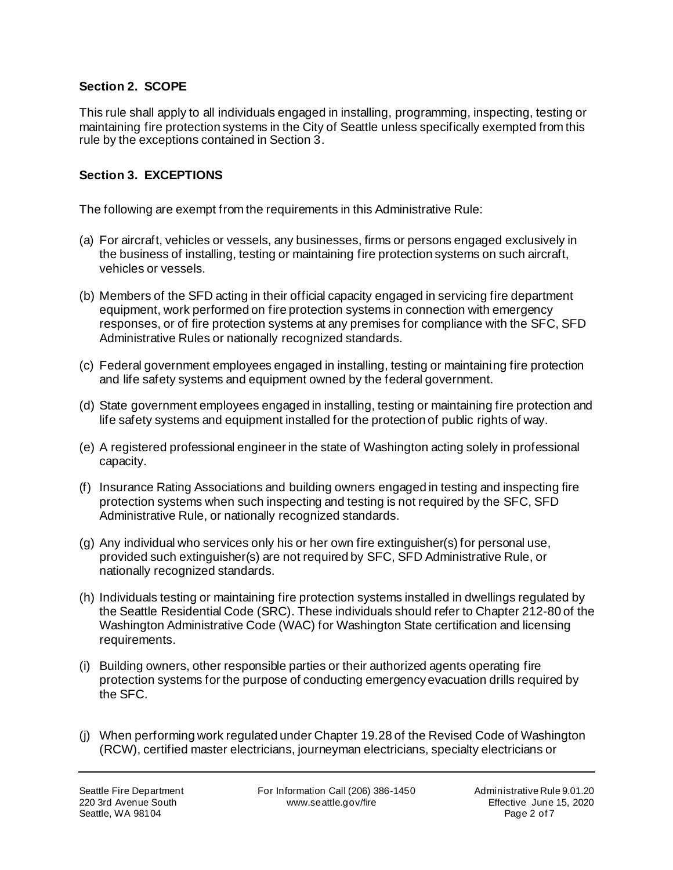#### **Section 2. SCOPE**

This rule shall apply to all individuals engaged in installing, programming, inspecting, testing or maintaining fire protection systems in the City of Seattle unless specifically exempted from this rule by the exceptions contained in Section 3.

#### **Section 3. EXCEPTIONS**

The following are exempt from the requirements in this Administrative Rule:

- (a) For aircraft, vehicles or vessels, any businesses, firms or persons engaged exclusively in the business of installing, testing or maintaining fire protection systems on such aircraft, vehicles or vessels.
- (b) Members of the SFD acting in their official capacity engaged in servicing fire department equipment, work performed on fire protection systems in connection with emergency responses, or of fire protection systems at any premises for compliance with the SFC, SFD Administrative Rules or nationally recognized standards.
- (c) Federal government employees engaged in installing, testing or maintaining fire protection and life safety systems and equipment owned by the federal government.
- (d) State government employees engaged in installing, testing or maintaining fire protection and life safety systems and equipment installed for the protection of public rights of way.
- (e) A registered professional engineer in the state of Washington acting solely in professional capacity.
- (f) Insurance Rating Associations and building owners engaged in testing and inspecting fire protection systems when such inspecting and testing is not required by the SFC, SFD Administrative Rule, or nationally recognized standards.
- (g) Any individual who services only his or her own fire extinguisher(s) for personal use, provided such extinguisher(s) are not required by SFC, SFD Administrative Rule, or nationally recognized standards.
- (h) Individuals testing or maintaining fire protection systems installed in dwellings regulated by the Seattle Residential Code (SRC). These individuals should refer to Chapter 212-80 of the Washington Administrative Code (WAC) for Washington State certification and licensing requirements.
- (i) Building owners, other responsible parties or their authorized agents operating fire protection systems for the purpose of conducting emergency evacuation drills required by the SFC.
- (j) When performing work regulated under Chapter 19.28 of the Revised Code of Washington (RCW), certified master electricians, journeyman electricians, specialty electricians or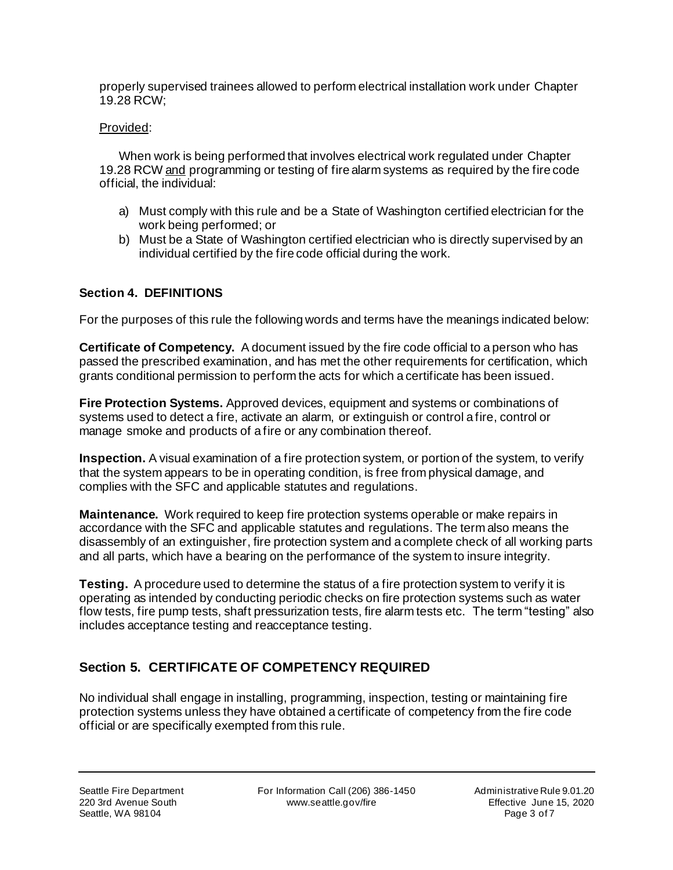properly supervised trainees allowed to perform electrical installation work under Chapter 19.28 RCW;

#### Provided:

When work is being performed that involves electrical work regulated under Chapter 19.28 RCW and programming or testing of fire alarm systems as required by the fire code official, the individual:

- a) Must comply with this rule and be a State of Washington certified electrician for the work being performed; or
- b) Must be a State of Washington certified electrician who is directly supervised by an individual certified by the fire code official during the work.

#### **Section 4. DEFINITIONS**

For the purposes of this rule the following words and terms have the meanings indicated below:

**Certificate of Competency.** A document issued by the fire code official to a person who has passed the prescribed examination, and has met the other requirements for certification, which grants conditional permission to perform the acts for which a certificate has been issued.

**Fire Protection Systems.** Approved devices, equipment and systems or combinations of systems used to detect a fire, activate an alarm, or extinguish or control a fire, control or manage smoke and products of a fire or any combination thereof.

**Inspection.** A visual examination of a fire protection system, or portion of the system, to verify that the system appears to be in operating condition, is free from physical damage, and complies with the SFC and applicable statutes and regulations.

**Maintenance.** Work required to keep fire protection systems operable or make repairs in accordance with the SFC and applicable statutes and regulations. The term also means the disassembly of an extinguisher, fire protection system and a complete check of all working parts and all parts, which have a bearing on the performance of the system to insure integrity.

**Testing.** A procedure used to determine the status of a fire protection system to verify it is operating as intended by conducting periodic checks on fire protection systems such as water flow tests, fire pump tests, shaft pressurization tests, fire alarm tests etc. The term "testing" also includes acceptance testing and reacceptance testing.

## **Section 5. CERTIFICATE OF COMPETENCY REQUIRED**

No individual shall engage in installing, programming, inspection, testing or maintaining fire protection systems unless they have obtained a certificate of competency from the fire code official or are specifically exempted from this rule.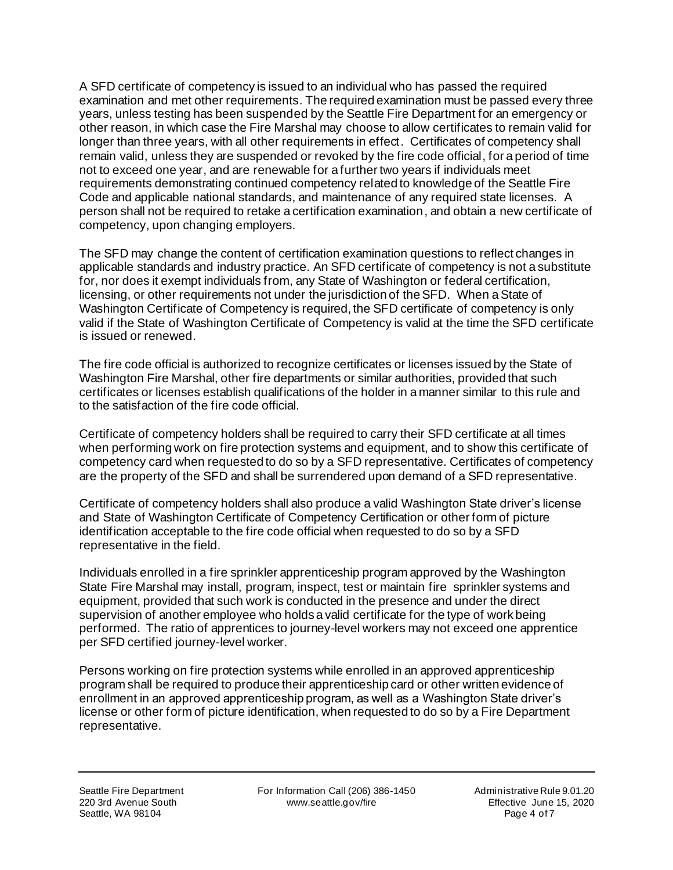A SFD certificate of competency is issued to an individual who has passed the required examination and met other requirements. The required examination must be passed every three years, unless testing has been suspended by the Seattle Fire Department for an emergency or other reason, in which case the Fire Marshal may choose to allow certificates to remain valid for longer than three years, with all other requirements in effect. Certificates of competency shall remain valid, unless they are suspended or revoked by the fire code official, for a period of time not to exceed one year, and are renewable for a further two years if individuals meet requirements demonstrating continued competency related to knowledge of the Seattle Fire Code and applicable national standards, and maintenance of any required state licenses. A person shall not be required to retake a certification examination, and obtain a new certificate of competency, upon changing employers.

The SFD may change the content of certification examination questions to reflect changes in applicable standards and industry practice. An SFD certificate of competency is not a substitute for, nor does it exempt individuals from, any State of Washington or federal certification, licensing, or other requirements not under the jurisdiction of the SFD. When a State of Washington Certificate of Competency is required, the SFD certificate of competency is only valid if the State of Washington Certificate of Competency is valid at the time the SFD certificate is issued or renewed.

The fire code official is authorized to recognize certificates or licenses issued by the State of Washington Fire Marshal, other fire departments or similar authorities, provided that such certificates or licenses establish qualifications of the holder in a manner similar to this rule and to the satisfaction of the fire code official.

Certificate of competency holders shall be required to carry their SFD certificate at all times when performing work on fire protection systems and equipment, and to show this certificate of competency card when requested to do so by a SFD representative. Certificates of competency are the property of the SFD and shall be surrendered upon demand of a SFD representative.

Certificate of competency holders shall also produce a valid Washington State driver's license and State of Washington Certificate of Competency Certification or other form of picture identification acceptable to the fire code official when requested to do so by a SFD representative in the field.

Individuals enrolled in a fire sprinkler apprenticeship program approved by the Washington State Fire Marshal may install, program, inspect, test or maintain fire sprinkler systems and equipment, provided that such work is conducted in the presence and under the direct supervision of another employee who holds a valid certificate for the type of work being performed. The ratio of apprentices to journey-level workers may not exceed one apprentice per SFD certified journey-level worker.

Persons working on fire protection systems while enrolled in an approved apprenticeship program shall be required to produce their apprenticeship card or other written evidence of enrollment in an approved apprenticeship program, as well as a Washington State driver's license or other form of picture identification, when requested to do so by a Fire Department representative.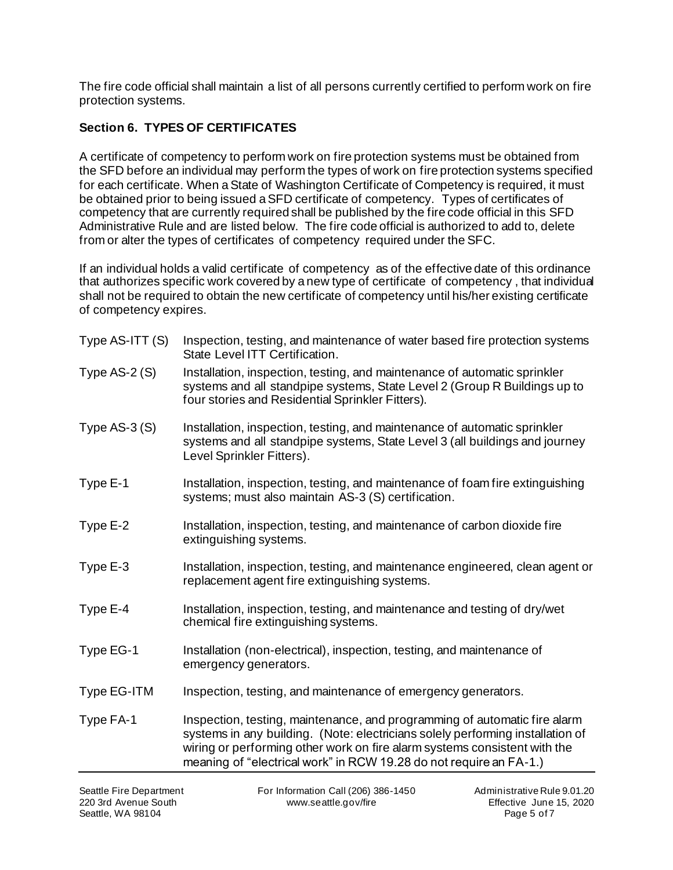The fire code official shall maintain a list of all persons currently certified to perform work on fire protection systems.

## **Section 6. TYPES OF CERTIFICATES**

A certificate of competency to perform work on fire protection systems must be obtained from the SFD before an individual may perform the types of work on fire protection systems specified for each certificate. When a State of Washington Certificate of Competency is required, it must be obtained prior to being issued a SFD certificate of competency. Types of certificates of competency that are currently required shall be published by the fire code official in this SFD Administrative Rule and are listed below. The fire code official is authorized to add to, delete from or alter the types of certificates of competency required under the SFC.

If an individual holds a valid certificate of competency as of the effective date of this ordinance that authorizes specific work covered by a new type of certificate of competency , that individual shall not be required to obtain the new certificate of competency until his/her existing certificate of competency expires.

| Type AS-ITT (S) | Inspection, testing, and maintenance of water based fire protection systems<br>State Level ITT Certification.                                                                                                                                                                                                  |
|-----------------|----------------------------------------------------------------------------------------------------------------------------------------------------------------------------------------------------------------------------------------------------------------------------------------------------------------|
| Type $AS-2(S)$  | Installation, inspection, testing, and maintenance of automatic sprinkler<br>systems and all standpipe systems, State Level 2 (Group R Buildings up to<br>four stories and Residential Sprinkler Fitters).                                                                                                     |
| Type $AS-3(S)$  | Installation, inspection, testing, and maintenance of automatic sprinkler<br>systems and all standpipe systems, State Level 3 (all buildings and journey<br>Level Sprinkler Fitters).                                                                                                                          |
| Type E-1        | Installation, inspection, testing, and maintenance of foam fire extinguishing<br>systems; must also maintain AS-3 (S) certification.                                                                                                                                                                           |
| Type E-2        | Installation, inspection, testing, and maintenance of carbon dioxide fire<br>extinguishing systems.                                                                                                                                                                                                            |
| Type E-3        | Installation, inspection, testing, and maintenance engineered, clean agent or<br>replacement agent fire extinguishing systems.                                                                                                                                                                                 |
| Type E-4        | Installation, inspection, testing, and maintenance and testing of dry/wet<br>chemical fire extinguishing systems.                                                                                                                                                                                              |
| Type EG-1       | Installation (non-electrical), inspection, testing, and maintenance of<br>emergency generators.                                                                                                                                                                                                                |
| Type EG-ITM     | Inspection, testing, and maintenance of emergency generators.                                                                                                                                                                                                                                                  |
| Type FA-1       | Inspection, testing, maintenance, and programming of automatic fire alarm<br>systems in any building. (Note: electricians solely performing installation of<br>wiring or performing other work on fire alarm systems consistent with the<br>meaning of "electrical work" in RCW 19.28 do not require an FA-1.) |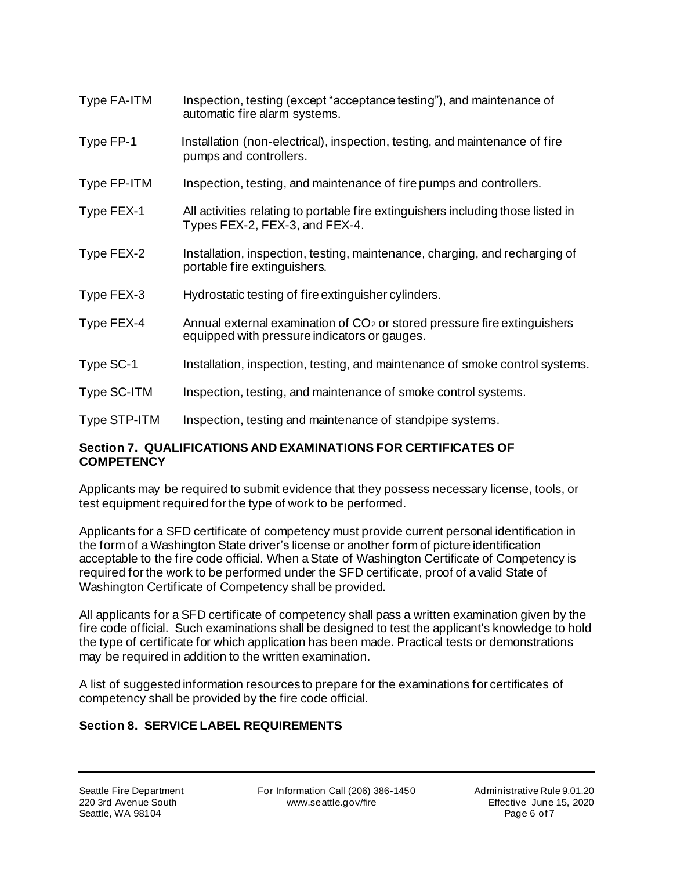- Type FA-ITM Inspection, testing (except "acceptance testing"), and maintenance of automatic fire alarm systems.
- Type FP-1 Installation (non-electrical), inspection, testing, and maintenance of fire pumps and controllers.
- Type FP-ITM Inspection, testing, and maintenance of fire pumps and controllers.
- Type FEX-1 All activities relating to portable fire extinguishers including those listed in Types FEX-2, FEX-3, and FEX-4.
- Type FEX-2 Installation, inspection, testing, maintenance, charging, and recharging of portable fire extinguishers.
- Type FEX-3 Hydrostatic testing of fire extinguisher cylinders.
- Type FEX-4 Annual external examination of CO<sub>2</sub> or stored pressure fire extinguishers equipped with pressure indicators or gauges.
- Type SC-1 Installation, inspection, testing, and maintenance of smoke control systems.
- Type SC-ITM Inspection, testing, and maintenance of smoke control systems.
- Type STP-ITM Inspection, testing and maintenance of standpipe systems.

#### **Section 7. QUALIFICATIONS AND EXAMINATIONS FOR CERTIFICATES OF COMPETENCY**

Applicants may be required to submit evidence that they possess necessary license, tools, or test equipment required for the type of work to be performed.

Applicants for a SFD certificate of competency must provide current personal identification in the form of a Washington State driver's license or another form of picture identification acceptable to the fire code official. When a State of Washington Certificate of Competency is required for the work to be performed under the SFD certificate, proof of a valid State of Washington Certificate of Competency shall be provided.

All applicants for a SFD certificate of competency shall pass a written examination given by the fire code official. Such examinations shall be designed to test the applicant's knowledge to hold the type of certificate for which application has been made. Practical tests or demonstrations may be required in addition to the written examination.

A list of suggested information resources to prepare for the examinations for certificates of competency shall be provided by the fire code official.

## **Section 8. SERVICE LABEL REQUIREMENTS**